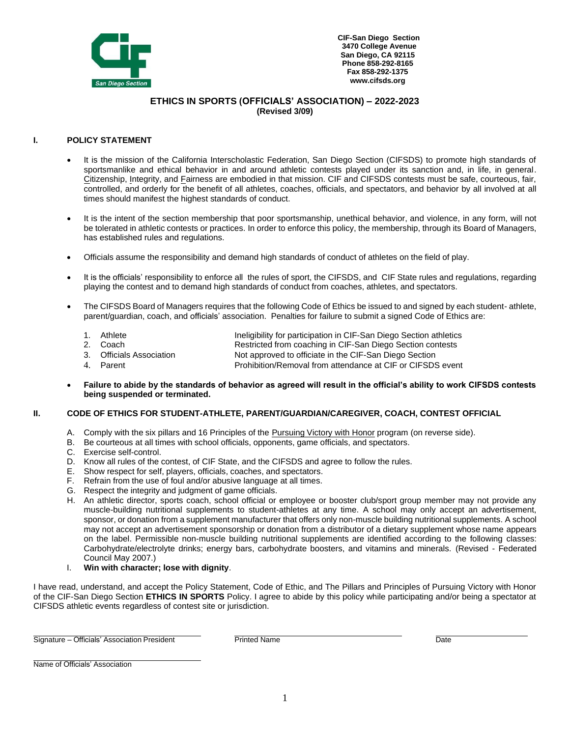

**CIF-San Diego Section 3470 College Avenue San Diego, CA 92115 Phone 858-292-8165 Fax 858-292-1375 [www.cifsds.org](http://www.cifsds.org/)**

## **ETHICS IN SPORTS (OFFICIALS' ASSOCIATION) – 2022-2023 (Revised 3/09)**

### **I. POLICY STATEMENT**

- It is the mission of the California Interscholastic Federation, San Diego Section (CIFSDS) to promote high standards of sportsmanlike and ethical behavior in and around athletic contests played under its sanction and, in life, in general. Citizenship, Integrity, and Fairness are embodied in that mission. CIF and CIFSDS contests must be safe, courteous, fair, controlled, and orderly for the benefit of all athletes, coaches, officials, and spectators, and behavior by all involved at all times should manifest the highest standards of conduct.
- It is the intent of the section membership that poor sportsmanship, unethical behavior, and violence, in any form, will not be tolerated in athletic contests or practices. In order to enforce this policy, the membership, through its Board of Managers, has established rules and regulations.
- Officials assume the responsibility and demand high standards of conduct of athletes on the field of play.
- It is the officials' responsibility to enforce all the rules of sport, the CIFSDS, and CIF State rules and regulations, regarding playing the contest and to demand high standards of conduct from coaches, athletes, and spectators.
- The CIFSDS Board of Managers requires that the following Code of Ethics be issued to and signed by each student- athlete, parent/guardian, coach, and officials' association. Penalties for failure to submit a signed Code of Ethics are:
	- 1. Athlete **Ineligibility for participation in CIF-San Diego Section athletics**
	- 2. Coach Restricted from coaching in CIF-San Diego Section contests<br>3. Officials Association Rot approved to officiate in the CIF-San Diego Section
	- 3. Officials Association **Not approved to officiate in the CIF-San Diego Section**<br>4. Parent Prohibition/Removal from attendance at CIF or CIFSDS
	- Prohibition/Removal from attendance at CIF or CIFSDS event
- **Failure to abide by the standards of behavior as agreed will result in the official's ability to work CIFSDS contests being suspended or terminated.**

#### **II. CODE OF ETHICS FOR STUDENT-ATHLETE, PARENT/GUARDIAN/CAREGIVER, COACH, CONTEST OFFICIAL**

- A. Comply with the six pillars and 16 Principles of the Pursuing Victory with Honor program (on reverse side).
- B. Be courteous at all times with school officials, opponents, game officials, and spectators.
- C. Exercise self-control.
- D. Know all rules of the contest, of CIF State, and the CIFSDS and agree to follow the rules.
- E. Show respect for self, players, officials, coaches, and spectators.
- F. Refrain from the use of foul and/or abusive language at all times.
- G. Respect the integrity and judgment of game officials.
- H. An athletic director, sports coach, school official or employee or booster club/sport group member may not provide any muscle-building nutritional supplements to student-athletes at any time. A school may only accept an advertisement, sponsor, or donation from a supplement manufacturer that offers only non-muscle building nutritional supplements. A school may not accept an advertisement sponsorship or donation from a distributor of a dietary supplement whose name appears on the label. Permissible non-muscle building nutritional supplements are identified according to the following classes: Carbohydrate/electrolyte drinks; energy bars, carbohydrate boosters, and vitamins and minerals. (Revised - Federated Council May 2007.)
- I. **Win with character; lose with dignity**.

I have read, understand, and accept the Policy Statement, Code of Ethic, and The Pillars and Principles of Pursuing Victory with Honor of the CIF-San Diego Section **ETHICS IN SPORTS** Policy. I agree to abide by this policy while participating and/or being a spectator at CIFSDS athletic events regardless of contest site or jurisdiction.

Signature – Officials' Association President **Provident Printed Name** Printed Name

Name of Officials' Association